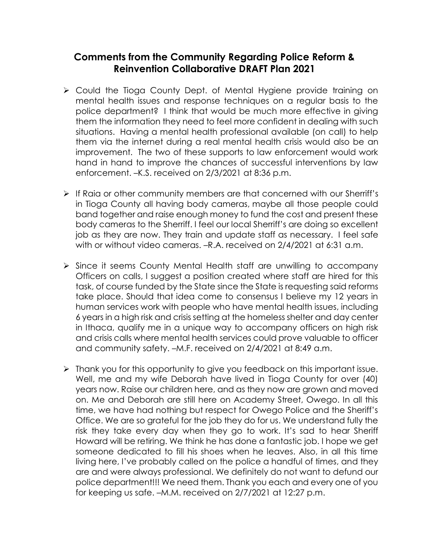## **Comments from the Community Regarding Police Reform & Reinvention Collaborative DRAFT Plan 2021**

- Could the Tioga County Dept. of Mental Hygiene provide training on mental health issues and response techniques on a regular basis to the police department? I think that would be much more effective in giving them the information they need to feel more confident in dealing with such situations. Having a mental health professional available (on call) to help them via the internet during a real mental health crisis would also be an improvement. The two of these supports to law enforcement would work hand in hand to improve the chances of successful interventions by law enforcement. –K.S. received on 2/3/2021 at 8:36 p.m.
- $\triangleright$  If Raia or other community members are that concerned with our Sherriff's in Tioga County all having body cameras, maybe all those people could band together and raise enough money to fund the cost and present these body cameras to the Sherriff. I feel our local Sherriff's are doing so excellent job as they are now. They train and update staff as necessary. I feel safe with or without video cameras. –R.A. received on 2/4/2021 at 6:31 a.m.
- $\triangleright$  Since it seems County Mental Health staff are unwilling to accompany Officers on calls, I suggest a position created where staff are hired for this task, of course funded by the State since the State is requesting said reforms take place. Should that idea come to consensus I believe my 12 years in human services work with people who have mental health issues, including 6 years in a high risk and crisis setting at the homeless shelter and day center in Ithaca, qualify me in a unique way to accompany officers on high risk and crisis calls where mental health services could prove valuable to officer and community safety. –M.F. received on 2/4/2021 at 8:49 a.m.
- I Thank you for this opportunity to give you feedback on this important issue. Well, me and my wife Deborah have lived in Tioga County for over (40) years now. Raise our children here, and as they now are grown and moved on. Me and Deborah are still here on Academy Street, Owego. In all this time, we have had nothing but respect for Owego Police and the Sheriff's Office. We are so grateful for the job they do for us. We understand fully the risk they take every day when they go to work. It's sad to hear Sheriff Howard will be retiring. We think he has done a fantastic job. I hope we get someone dedicated to fill his shoes when he leaves. Also, in all this time living here, I've probably called on the police a handful of times, and they are and were always professional. We definitely do not want to defund our police department!!! We need them. Thank you each and every one of you for keeping us safe. –M.M. received on 2/7/2021 at 12:27 p.m.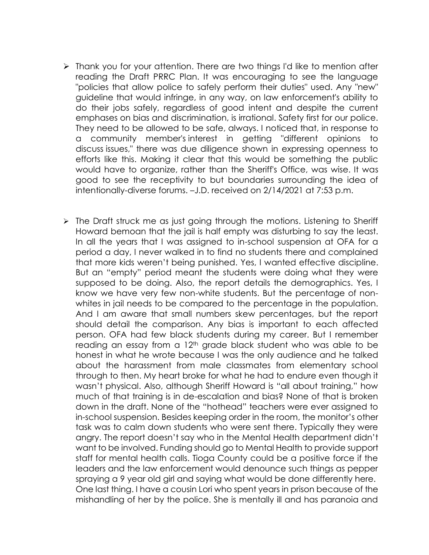- Thank you for your attention. There are two things I'd like to mention after reading the Draft PRRC Plan. It was encouraging to see the language "policies that allow police to safely perform their duties" used. Any "new" guideline that would infringe, in any way, on law enforcement's ability to do their jobs safely, regardless of good intent and despite the current emphases on bias and discrimination, is irrational. Safety first for our police. They need to be allowed to be safe, always. I noticed that, in response to a community member's interest in getting "different opinions to discuss issues," there was due diligence shown in expressing openness to efforts like this. Making it clear that this would be something the public would have to organize, rather than the Sheriff's Office, was wise. It was good to see the receptivity to but boundaries surrounding the idea of intentionally-diverse forums. –J.D. received on 2/14/2021 at 7:53 p.m.
- $\triangleright$  The Draft struck me as just going through the motions. Listening to Sheriff Howard bemoan that the jail is half empty was disturbing to say the least. In all the years that I was assigned to in-school suspension at OFA for a period a day, I never walked in to find no students there and complained that more kids weren't being punished. Yes, I wanted effective discipline. But an "empty" period meant the students were doing what they were supposed to be doing. Also, the report details the demographics. Yes, I know we have very few non-white students. But the percentage of nonwhites in jail needs to be compared to the percentage in the population. And I am aware that small numbers skew percentages, but the report should detail the comparison. Any bias is important to each affected person. OFA had few black students during my career. But I remember reading an essay from a 12<sup>th</sup> grade black student who was able to be honest in what he wrote because I was the only audience and he talked about the harassment from male classmates from elementary school through to then. My heart broke for what he had to endure even though it wasn't physical. Also, although Sheriff Howard is "all about training," how much of that training is in de-escalation and bias? None of that is broken down in the draft. None of the "hothead" teachers were ever assigned to in-school suspension. Besides keeping order in the room, the monitor's other task was to calm down students who were sent there. Typically they were angry. The report doesn't say who in the Mental Health department didn't want to be involved. Funding should go to Mental Health to provide support staff for mental health calls. Tioga County could be a positive force if the leaders and the law enforcement would denounce such things as pepper spraying a 9 year old girl and saying what would be done differently here. One last thing. I have a cousin Lori who spent years in prison because of the mishandling of her by the police. She is mentally ill and has paranoia and